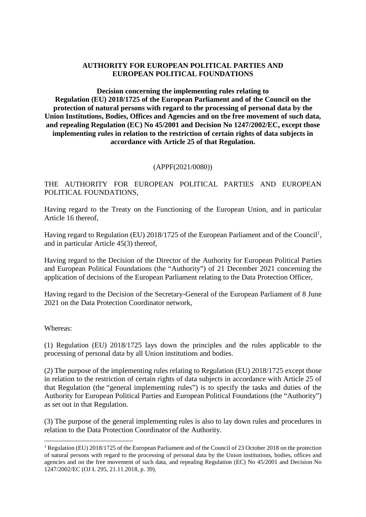### **AUTHORITY FOR EUROPEAN POLITICAL PARTIES AND EUROPEAN POLITICAL FOUNDATIONS**

**Decision concerning the implementing rules relating to Regulation (EU) 2018/1725 of the European Parliament and of the Council on the protection of natural persons with regard to the processing of personal data by the Union Institutions, Bodies, Offices and Agencies and on the free movement of such data, and repealing Regulation (EC) No 45/2001 and Decision No 1247/2002/EC, except those implementing rules in relation to the restriction of certain rights of data subjects in accordance with Article 25 of that Regulation.**

#### (APPF(2021/0080))

THE AUTHORITY FOR EUROPEAN POLITICAL PARTIES AND EUROPEAN POLITICAL FOUNDATIONS,

Having regard to the Treaty on the Functioning of the European Union, and in particular Article 16 thereof,

Having regard to Regulation (EU) 2018/1725 of the European Parliament and of the Council<sup>1</sup>, and in particular Article 45(3) thereof,

Having regard to the Decision of the Director of the Authority for European Political Parties and European Political Foundations (the "Authority") of 21 December 2021 concerning the application of decisions of the European Parliament relating to the Data Protection Officer,

Having regard to the Decision of the Secretary-General of the European Parliament of 8 June 2021 on the Data Protection Coordinator network,

Whereas:

(1) Regulation (EU) 2018/1725 lays down the principles and the rules applicable to the processing of personal data by all Union institutions and bodies.

(2) The purpose of the implementing rules relating to Regulation (EU) 2018/1725 except those in relation to the restriction of certain rights of data subjects in accordance with Article 25 of that Regulation (the "general implementing rules") is to specify the tasks and duties of the Authority for European Political Parties and European Political Foundations (the "Authority") as set out in that Regulation.

(3) The purpose of the general implementing rules is also to lay down rules and procedures in relation to the Data Protection Coordinator of the Authority.

<sup>1</sup> Regulation (EU) 2018/1725 of the European Parliament and of the Council of 23 October 2018 on the protection of natural persons with regard to the processing of personal data by the Union institutions, bodies, offices and agencies and on the free movement of such data, and repealing Regulation (EC) No 45/2001 and Decision No 1247/2002/EC (OJ L 295, 21.11.2018, p. 39).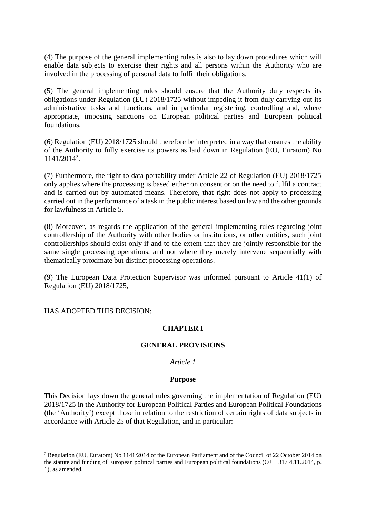(4) The purpose of the general implementing rules is also to lay down procedures which will enable data subjects to exercise their rights and all persons within the Authority who are involved in the processing of personal data to fulfil their obligations.

(5) The general implementing rules should ensure that the Authority duly respects its obligations under Regulation (EU) 2018/1725 without impeding it from duly carrying out its administrative tasks and functions, and in particular registering, controlling and, where appropriate, imposing sanctions on European political parties and European political foundations.

(6) Regulation (EU) 2018/1725 should therefore be interpreted in a way that ensures the ability of the Authority to fully exercise its powers as laid down in Regulation (EU, Euratom) No 1141/2014<sup>2</sup> .

(7) Furthermore, the right to data portability under Article 22 of Regulation (EU) 2018/1725 only applies where the processing is based either on consent or on the need to fulfil a contract and is carried out by automated means. Therefore, that right does not apply to processing carried out in the performance of a task in the public interest based on law and the other grounds for lawfulness in Article 5.

(8) Moreover, as regards the application of the general implementing rules regarding joint controllership of the Authority with other bodies or institutions, or other entities, such joint controllerships should exist only if and to the extent that they are jointly responsible for the same single processing operations, and not where they merely intervene sequentially with thematically proximate but distinct processing operations.

(9) The European Data Protection Supervisor was informed pursuant to Article 41(1) of Regulation (EU) 2018/1725,

HAS ADOPTED THIS DECISION:

# **CHAPTER I**

#### **GENERAL PROVISIONS**

#### *Article 1*

#### **Purpose**

This Decision lays down the general rules governing the implementation of Regulation (EU) 2018/1725 in the Authority for European Political Parties and European Political Foundations (the 'Authority') except those in relation to the restriction of certain rights of data subjects in accordance with Article 25 of that Regulation, and in particular:

<sup>2</sup> Regulation (EU, Euratom) No 1141/2014 of the European Parliament and of the Council of 22 October 2014 on the statute and funding of European political parties and European political foundations (OJ L 317 4.11.2014, p. 1), as amended.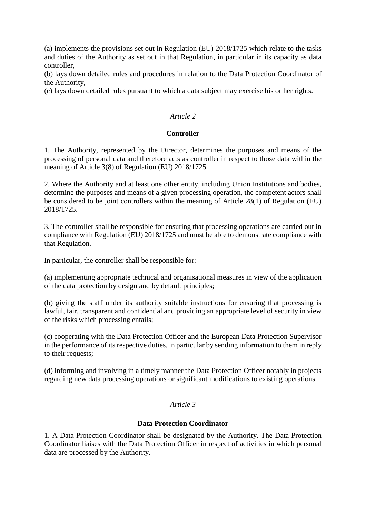(a) implements the provisions set out in Regulation (EU) 2018/1725 which relate to the tasks and duties of the Authority as set out in that Regulation, in particular in its capacity as data controller,

(b) lays down detailed rules and procedures in relation to the Data Protection Coordinator of the Authority,

(c) lays down detailed rules pursuant to which a data subject may exercise his or her rights.

### *Article 2*

### **Controller**

1. The Authority, represented by the Director, determines the purposes and means of the processing of personal data and therefore acts as controller in respect to those data within the meaning of Article 3(8) of Regulation (EU) 2018/1725.

2. Where the Authority and at least one other entity, including Union Institutions and bodies, determine the purposes and means of a given processing operation, the competent actors shall be considered to be joint controllers within the meaning of Article 28(1) of Regulation (EU) 2018/1725.

3. The controller shall be responsible for ensuring that processing operations are carried out in compliance with Regulation (EU) 2018/1725 and must be able to demonstrate compliance with that Regulation.

In particular, the controller shall be responsible for:

(a) implementing appropriate technical and organisational measures in view of the application of the data protection by design and by default principles;

(b) giving the staff under its authority suitable instructions for ensuring that processing is lawful, fair, transparent and confidential and providing an appropriate level of security in view of the risks which processing entails;

(c) cooperating with the Data Protection Officer and the European Data Protection Supervisor in the performance of its respective duties, in particular by sending information to them in reply to their requests;

(d) informing and involving in a timely manner the Data Protection Officer notably in projects regarding new data processing operations or significant modifications to existing operations.

# *Article 3*

### **Data Protection Coordinator**

1. A Data Protection Coordinator shall be designated by the Authority. The Data Protection Coordinator liaises with the Data Protection Officer in respect of activities in which personal data are processed by the Authority.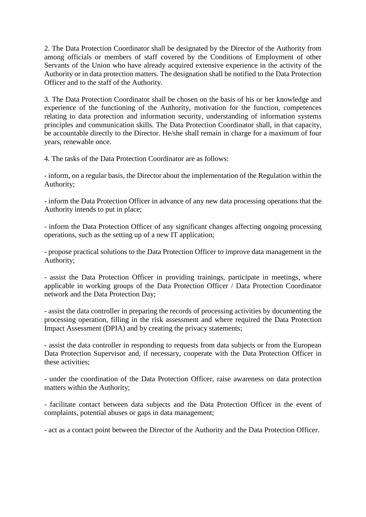2. The Data Protection Coordinator shall be designated by the Director of the Authority from among officials or members of staff covered by the Conditions of Employment of other Servants of the Union who have already acquired extensive experience in the activity of the Authority or in data protection matters. The designation shall be notified to the Data Protection Officer and to the staff of the Authority.

3. The Data Protection Coordinator shall be chosen on the basis of his or her knowledge and experience of the functioning of the Authority, motivation for the function, competences relating to data protection and information security, understanding of information systems principles and communication skills. The Data Protection Coordinator shall, in that capacity, be accountable directly to the Director. He/she shall remain in charge for a maximum of four years, renewable once.

4. The tasks of the Data Protection Coordinator are as follows:

- inform, on a regular basis, the Director about the implementation of the Regulation within the Authority;

- inform the Data Protection Officer in advance of any new data processing operations that the Authority intends to put in place;

- inform the Data Protection Officer of any significant changes affecting ongoing processing operations, such as the setting up of a new IT application;

- propose practical solutions to the Data Protection Officer to improve data management in the Authority;

- assist the Data Protection Officer in providing trainings, participate in meetings, where applicable in working groups of the Data Protection Officer / Data Protection Coordinator network and the Data Protection Day;

- assist the data controller in preparing the records of processing activities by documenting the processing operation, filling in the risk assessment and where required the Data Protection Impact Assessment (DPIA) and by creating the privacy statements;

- assist the data controller in responding to requests from data subjects or from the European Data Protection Supervisor and, if necessary, cooperate with the Data Protection Officer in these activities;

- under the coordination of the Data Protection Officer, raise awareness on data protection matters within the Authority;

- facilitate contact between data subjects and the Data Protection Officer in the event of complaints, potential abuses or gaps in data management;

- act as a contact point between the Director of the Authority and the Data Protection Officer.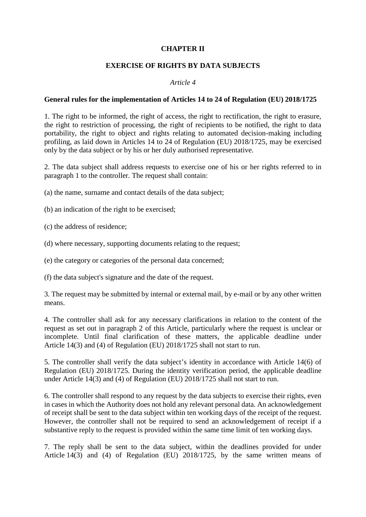### **CHAPTER II**

#### **EXERCISE OF RIGHTS BY DATA SUBJECTS**

#### *Article 4*

#### **General rules for the implementation of Articles 14 to 24 of Regulation (EU) 2018/1725**

1. The right to be informed, the right of access, the right to rectification, the right to erasure, the right to restriction of processing, the right of recipients to be notified, the right to data portability, the right to object and rights relating to automated decision-making including profiling, as laid down in Articles 14 to 24 of Regulation (EU) 2018/1725, may be exercised only by the data subject or by his or her duly authorised representative.

2. The data subject shall address requests to exercise one of his or her rights referred to in paragraph 1 to the controller. The request shall contain:

(a) the name, surname and contact details of the data subject;

(b) an indication of the right to be exercised;

(c) the address of residence;

(d) where necessary, supporting documents relating to the request;

(e) the category or categories of the personal data concerned;

(f) the data subject's signature and the date of the request.

3. The request may be submitted by internal or external mail, by e-mail or by any other written means.

4. The controller shall ask for any necessary clarifications in relation to the content of the request as set out in paragraph 2 of this Article, particularly where the request is unclear or incomplete. Until final clarification of these matters, the applicable deadline under Article 14(3) and (4) of Regulation (EU) 2018/1725 shall not start to run.

5. The controller shall verify the data subject's identity in accordance with Article 14(6) of Regulation (EU) 2018/1725. During the identity verification period, the applicable deadline under Article 14(3) and (4) of Regulation (EU) 2018/1725 shall not start to run.

6. The controller shall respond to any request by the data subjects to exercise their rights, even in cases in which the Authority does not hold any relevant personal data. An acknowledgement of receipt shall be sent to the data subject within ten working days of the receipt of the request. However, the controller shall not be required to send an acknowledgement of receipt if a substantive reply to the request is provided within the same time limit of ten working days.

7. The reply shall be sent to the data subject, within the deadlines provided for under Article 14(3) and (4) of Regulation (EU) 2018/1725, by the same written means of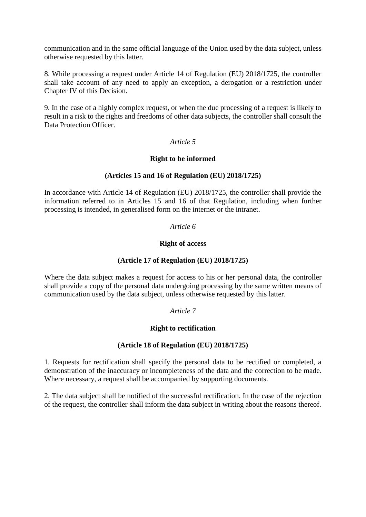communication and in the same official language of the Union used by the data subject, unless otherwise requested by this latter.

8. While processing a request under Article 14 of Regulation (EU) 2018/1725, the controller shall take account of any need to apply an exception, a derogation or a restriction under Chapter IV of this Decision.

9. In the case of a highly complex request, or when the due processing of a request is likely to result in a risk to the rights and freedoms of other data subjects, the controller shall consult the Data Protection Officer.

#### *Article 5*

### **Right to be informed**

# **(Articles 15 and 16 of Regulation (EU) 2018/1725)**

In accordance with Article 14 of Regulation (EU) 2018/1725, the controller shall provide the information referred to in Articles 15 and 16 of that Regulation, including when further processing is intended, in generalised form on the internet or the intranet.

### *Article 6*

#### **Right of access**

### **(Article 17 of Regulation (EU) 2018/1725)**

Where the data subject makes a request for access to his or her personal data, the controller shall provide a copy of the personal data undergoing processing by the same written means of communication used by the data subject, unless otherwise requested by this latter.

# *Article 7*

# **Right to rectification**

#### **(Article 18 of Regulation (EU) 2018/1725)**

1. Requests for rectification shall specify the personal data to be rectified or completed, a demonstration of the inaccuracy or incompleteness of the data and the correction to be made. Where necessary, a request shall be accompanied by supporting documents.

2. The data subject shall be notified of the successful rectification. In the case of the rejection of the request, the controller shall inform the data subject in writing about the reasons thereof.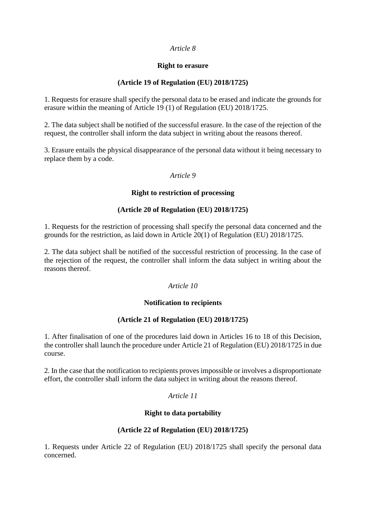### *Article 8*

### **Right to erasure**

# **(Article 19 of Regulation (EU) 2018/1725)**

1. Requests for erasure shall specify the personal data to be erased and indicate the grounds for erasure within the meaning of Article 19 (1) of Regulation (EU) 2018/1725.

2. The data subject shall be notified of the successful erasure. In the case of the rejection of the request, the controller shall inform the data subject in writing about the reasons thereof.

3. Erasure entails the physical disappearance of the personal data without it being necessary to replace them by a code.

### *Article 9*

### **Right to restriction of processing**

# **(Article 20 of Regulation (EU) 2018/1725)**

1. Requests for the restriction of processing shall specify the personal data concerned and the grounds for the restriction, as laid down in Article 20(1) of Regulation (EU) 2018/1725.

2. The data subject shall be notified of the successful restriction of processing. In the case of the rejection of the request, the controller shall inform the data subject in writing about the reasons thereof.

# *Article 10*

# **Notification to recipients**

# **(Article 21 of Regulation (EU) 2018/1725)**

1. After finalisation of one of the procedures laid down in Articles 16 to 18 of this Decision, the controller shall launch the procedure under Article 21 of Regulation (EU) 2018/1725 in due course.

2. In the case that the notification to recipients proves impossible or involves a disproportionate effort, the controller shall inform the data subject in writing about the reasons thereof.

#### *Article 11*

# **Right to data portability**

# **(Article 22 of Regulation (EU) 2018/1725)**

1. Requests under Article 22 of Regulation (EU) 2018/1725 shall specify the personal data concerned.